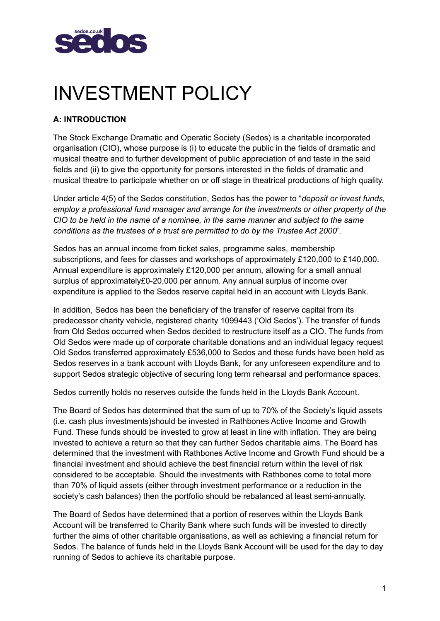

# INVESTMENT POLICY

# **A: INTRODUCTION**

The Stock Exchange Dramatic and Operatic Society (Sedos) is a charitable incorporated organisation (CIO), whose purpose is (i) to educate the public in the fields of dramatic and musical theatre and to further development of public appreciation of and taste in the said fields and (ii) to give the opportunity for persons interested in the fields of dramatic and musical theatre to participate whether on or off stage in theatrical productions of high quality.

Under article 4(5) of the Sedos constitution, Sedos has the power to "*deposit or invest funds, employ a professional fund manager and arrange for the investments or other property of the CIO to be held in the name of a nominee, in the same manner and subject to the same conditions as the trustees of a trust are permitted to do by the Trustee Act 2000*".

Sedos has an annual income from ticket sales, programme sales, membership subscriptions, and fees for classes and workshops of approximately £120,000 to £140,000. Annual expenditure is approximately £120,000 per annum, allowing for a small annual surplus of approximately£0-20,000 per annum. Any annual surplus of income over expenditure is applied to the Sedos reserve capital held in an account with Lloyds Bank.

In addition, Sedos has been the beneficiary of the transfer of reserve capital from its predecessor charity vehicle, registered charity 1099443 ('Old Sedos'). The transfer of funds from Old Sedos occurred when Sedos decided to restructure itself as a CIO. The funds from Old Sedos were made up of corporate charitable donations and an individual legacy request Old Sedos transferred approximately £536,000 to Sedos and these funds have been held as Sedos reserves in a bank account with Lloyds Bank, for any unforeseen expenditure and to support Sedos strategic objective of securing long term rehearsal and performance spaces.

Sedos currently holds no reserves outside the funds held in the Lloyds Bank Account.

The Board of Sedos has determined that the sum of up to 70% of the Society's liquid assets (i.e. cash plus investments)should be invested in Rathbones Active Income and Growth Fund. These funds should be invested to grow at least in line with inflation. They are being invested to achieve a return so that they can further Sedos charitable aims. The Board has determined that the investment with Rathbones Active Income and Growth Fund should be a financial investment and should achieve the best financial return within the level of risk considered to be acceptable. Should the investments with Rathbones come to total more than 70% of liquid assets (either through investment performance or a reduction in the society's cash balances) then the portfolio should be rebalanced at least semi-annually.

The Board of Sedos have determined that a portion of reserves within the Lloyds Bank Account will be transferred to Charity Bank where such funds will be invested to directly further the aims of other charitable organisations, as well as achieving a financial return for Sedos. The balance of funds held in the Lloyds Bank Account will be used for the day to day running of Sedos to achieve its charitable purpose.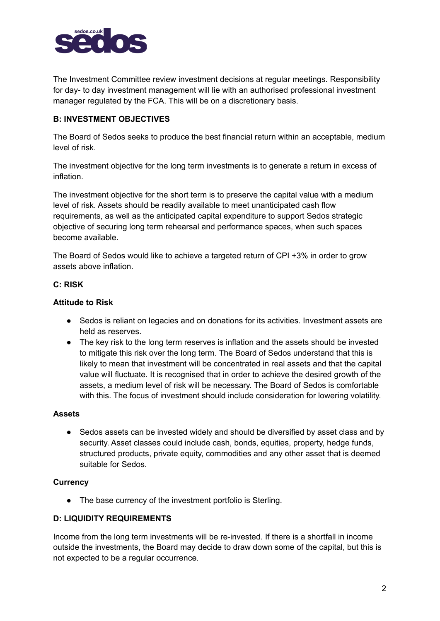

The Investment Committee review investment decisions at regular meetings. Responsibility for day- to day investment management will lie with an authorised professional investment manager regulated by the FCA. This will be on a discretionary basis.

# **B: INVESTMENT OBJECTIVES**

The Board of Sedos seeks to produce the best financial return within an acceptable, medium level of risk.

The investment objective for the long term investments is to generate a return in excess of inflation.

The investment objective for the short term is to preserve the capital value with a medium level of risk. Assets should be readily available to meet unanticipated cash flow requirements, as well as the anticipated capital expenditure to support Sedos strategic objective of securing long term rehearsal and performance spaces, when such spaces become available.

The Board of Sedos would like to achieve a targeted return of CPI +3% in order to grow assets above inflation.

## **C: RISK**

## **Attitude to Risk**

- Sedos is reliant on legacies and on donations for its activities. Investment assets are held as reserves.
- The key risk to the long term reserves is inflation and the assets should be invested to mitigate this risk over the long term. The Board of Sedos understand that this is likely to mean that investment will be concentrated in real assets and that the capital value will fluctuate. It is recognised that in order to achieve the desired growth of the assets, a medium level of risk will be necessary. The Board of Sedos is comfortable with this. The focus of investment should include consideration for lowering volatility.

#### **Assets**

● Sedos assets can be invested widely and should be diversified by asset class and by security. Asset classes could include cash, bonds, equities, property, hedge funds, structured products, private equity, commodities and any other asset that is deemed suitable for Sedos.

#### **Currency**

• The base currency of the investment portfolio is Sterling.

#### **D: LIQUIDITY REQUIREMENTS**

Income from the long term investments will be re-invested. If there is a shortfall in income outside the investments, the Board may decide to draw down some of the capital, but this is not expected to be a regular occurrence.